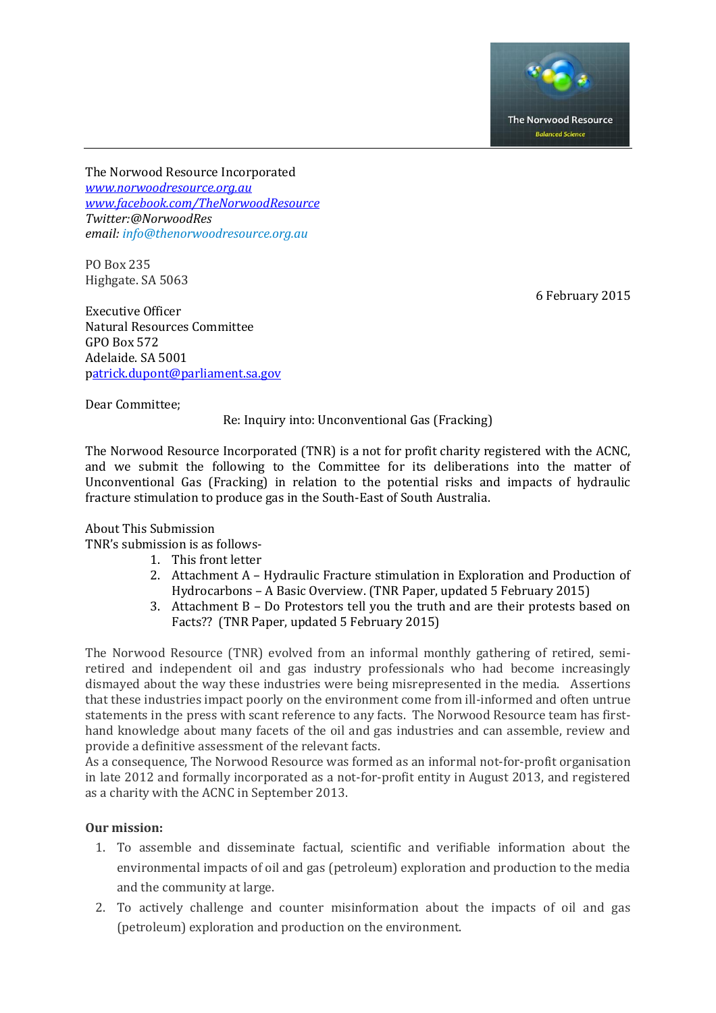

The Norwood Resource Incorporated *[www.norwoodresource.org.au](http://www.norwoodresource.org.au/) [www.facebook.com/TheNorwoodResource](http://www.facebook.com/TheNorwoodResource) Twitter:@NorwoodRes email[: info@thenorwoodresource.org.au](mailto:info@thenorwoodresource.org.au)*

PO Box 235 Highgate. SA 5063

6 February 2015

Executive Officer Natural Resources Committee GPO Box 572 Adelaide. SA 5001 [patrick.dupont@parliament.sa.gov](mailto:atrick.dupont@parliament.sa.gov)

Dear Committee;

Re: Inquiry into: Unconventional Gas (Fracking)

The Norwood Resource Incorporated (TNR) is a not for profit charity registered with the ACNC, and we submit the following to the Committee for its deliberations into the matter of Unconventional Gas (Fracking) in relation to the potential risks and impacts of hydraulic fracture stimulation to produce gas in the South-East of South Australia.

# About This Submission

TNR's submission is as follows-

- 1. This front letter
- 2. Attachment A Hydraulic Fracture stimulation in Exploration and Production of Hydrocarbons – A Basic Overview. (TNR Paper, updated 5 February 2015)
- 3. Attachment B Do Protestors tell you the truth and are their protests based on Facts?? (TNR Paper, updated 5 February 2015)

The Norwood Resource (TNR) evolved from an informal monthly gathering of retired, semiretired and independent oil and gas industry professionals who had become increasingly dismayed about the way these industries were being misrepresented in the media. Assertions that these industries impact poorly on the environment come from ill-informed and often untrue statements in the press with scant reference to any facts. The Norwood Resource team has firsthand knowledge about many facets of the oil and gas industries and can assemble, review and provide a definitive assessment of the relevant facts.

As a consequence, The Norwood Resource was formed as an informal not-for-profit organisation in late 2012 and formally incorporated as a not-for-profit entity in August 2013, and registered as a charity with the ACNC in September 2013.

# **Our mission:**

- 1. To assemble and disseminate factual, scientific and verifiable information about the environmental impacts of oil and gas (petroleum) exploration and production to the media and the community at large.
- 2. To actively challenge and counter misinformation about the impacts of oil and gas (petroleum) exploration and production on the environment.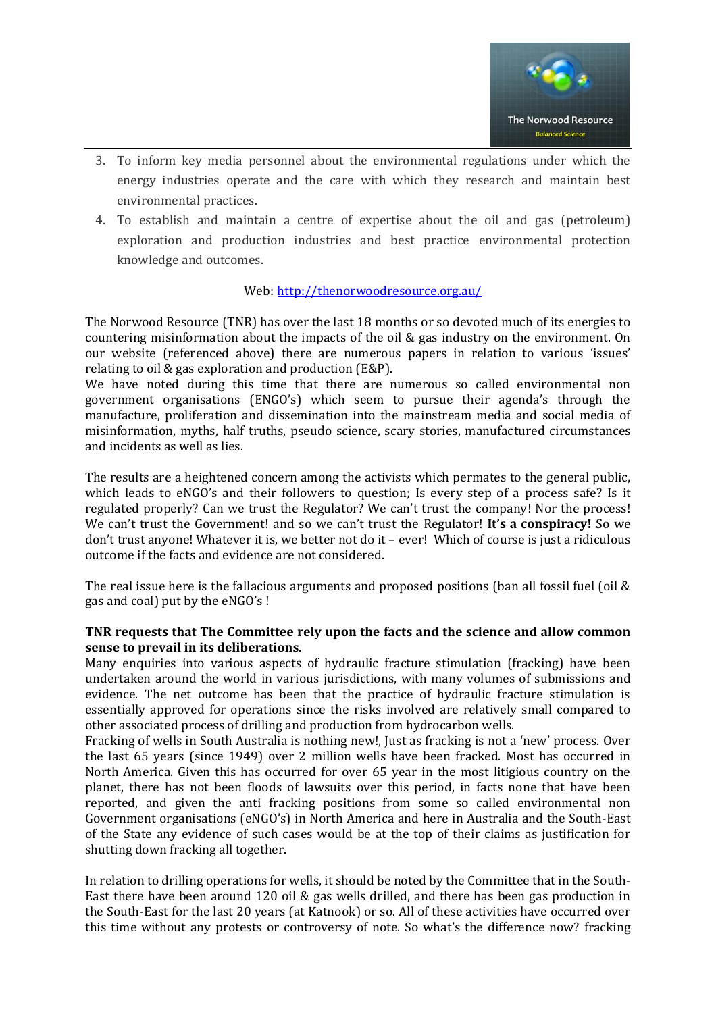

- 3. To inform key media personnel about the environmental regulations under which the energy industries operate and the care with which they research and maintain best environmental practices.
- 4. To establish and maintain a centre of expertise about the oil and gas (petroleum) exploration and production industries and best practice environmental protection knowledge and outcomes.

# Web: <http://thenorwoodresource.org.au/>

The Norwood Resource (TNR) has over the last 18 months or so devoted much of its energies to countering misinformation about the impacts of the oil & gas industry on the environment. On our website (referenced above) there are numerous papers in relation to various 'issues' relating to oil & gas exploration and production (E&P).

We have noted during this time that there are numerous so called environmental non government organisations (ENGO's) which seem to pursue their agenda's through the manufacture, proliferation and dissemination into the mainstream media and social media of misinformation, myths, half truths, pseudo science, scary stories, manufactured circumstances and incidents as well as lies.

The results are a heightened concern among the activists which permates to the general public, which leads to eNGO's and their followers to question; Is every step of a process safe? Is it regulated properly? Can we trust the Regulator? We can't trust the company! Nor the process! We can't trust the Government! and so we can't trust the Regulator! **It's a conspiracy!** So we don't trust anyone! Whatever it is, we better not do it – ever! Which of course is just a ridiculous outcome if the facts and evidence are not considered.

The real issue here is the fallacious arguments and proposed positions (ban all fossil fuel (oil & gas and coal) put by the eNGO's !

#### **TNR requests that The Committee rely upon the facts and the science and allow common sense to prevail in its deliberations**.

Many enquiries into various aspects of hydraulic fracture stimulation (fracking) have been undertaken around the world in various jurisdictions, with many volumes of submissions and evidence. The net outcome has been that the practice of hydraulic fracture stimulation is essentially approved for operations since the risks involved are relatively small compared to other associated process of drilling and production from hydrocarbon wells.

Fracking of wells in South Australia is nothing new!, Just as fracking is not a 'new' process. Over the last 65 years (since 1949) over 2 million wells have been fracked. Most has occurred in North America. Given this has occurred for over 65 year in the most litigious country on the planet, there has not been floods of lawsuits over this period, in facts none that have been reported, and given the anti fracking positions from some so called environmental non Government organisations (eNGO's) in North America and here in Australia and the South-East of the State any evidence of such cases would be at the top of their claims as justification for shutting down fracking all together.

In relation to drilling operations for wells, it should be noted by the Committee that in the South-East there have been around 120 oil & gas wells drilled, and there has been gas production in the South-East for the last 20 years (at Katnook) or so. All of these activities have occurred over this time without any protests or controversy of note. So what's the difference now? fracking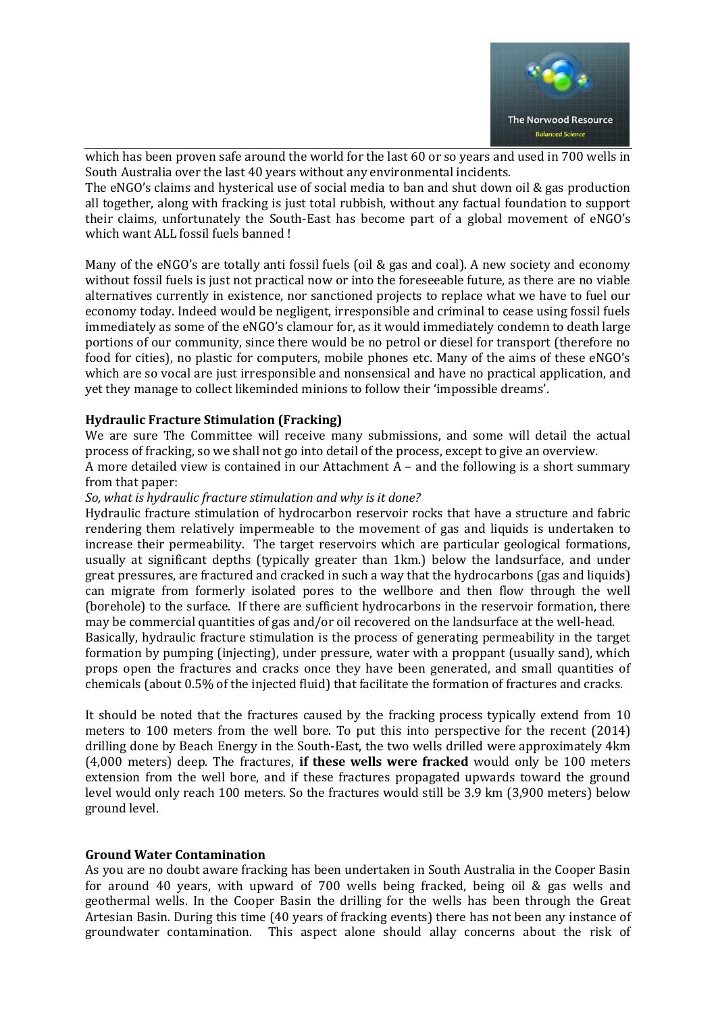

which has been proven safe around the world for the last 60 or so years and used in 700 wells in South Australia over the last 40 years without any environmental incidents.

The eNGO's claims and hysterical use of social media to ban and shut down oil & gas production all together, along with fracking is just total rubbish, without any factual foundation to support their claims, unfortunately the South-East has become part of a global movement of eNGO's which want ALL fossil fuels banned !

Many of the eNGO's are totally anti fossil fuels (oil & gas and coal). A new society and economy without fossil fuels is just not practical now or into the foreseeable future, as there are no viable alternatives currently in existence, nor sanctioned projects to replace what we have to fuel our economy today. Indeed would be negligent, irresponsible and criminal to cease using fossil fuels immediately as some of the eNGO's clamour for, as it would immediately condemn to death large portions of our community, since there would be no petrol or diesel for transport (therefore no food for cities), no plastic for computers, mobile phones etc. Many of the aims of these eNGO's which are so vocal are just irresponsible and nonsensical and have no practical application, and yet they manage to collect likeminded minions to follow their 'impossible dreams'.

#### **Hydraulic Fracture Stimulation (Fracking)**

We are sure The Committee will receive many submissions, and some will detail the actual process of fracking, so we shall not go into detail of the process, except to give an overview.

A more detailed view is contained in our Attachment A – and the following is a short summary from that paper:

*So, what is hydraulic fracture stimulation and why is it done?* 

Hydraulic fracture stimulation of hydrocarbon reservoir rocks that have a structure and fabric rendering them relatively impermeable to the movement of gas and liquids is undertaken to increase their permeability. The target reservoirs which are particular geological formations, usually at significant depths (typically greater than 1km.) below the landsurface, and under great pressures, are fractured and cracked in such a way that the hydrocarbons (gas and liquids) can migrate from formerly isolated pores to the wellbore and then flow through the well (borehole) to the surface. If there are sufficient hydrocarbons in the reservoir formation, there may be commercial quantities of gas and/or oil recovered on the landsurface at the well-head.

Basically, hydraulic fracture stimulation is the process of generating permeability in the target formation by pumping (injecting), under pressure, water with a proppant (usually sand), which props open the fractures and cracks once they have been generated, and small quantities of chemicals (about 0.5% of the injected fluid) that facilitate the formation of fractures and cracks.

It should be noted that the fractures caused by the fracking process typically extend from 10 meters to 100 meters from the well bore. To put this into perspective for the recent (2014) drilling done by Beach Energy in the South-East, the two wells drilled were approximately 4km (4,000 meters) deep. The fractures, **if these wells were fracked** would only be 100 meters extension from the well bore, and if these fractures propagated upwards toward the ground level would only reach 100 meters. So the fractures would still be 3.9 km (3,900 meters) below ground level.

#### **Ground Water Contamination**

As you are no doubt aware fracking has been undertaken in South Australia in the Cooper Basin for around 40 years, with upward of 700 wells being fracked, being oil & gas wells and geothermal wells. In the Cooper Basin the drilling for the wells has been through the Great Artesian Basin. During this time (40 years of fracking events) there has not been any instance of groundwater contamination. This aspect alone should allay concerns about the risk of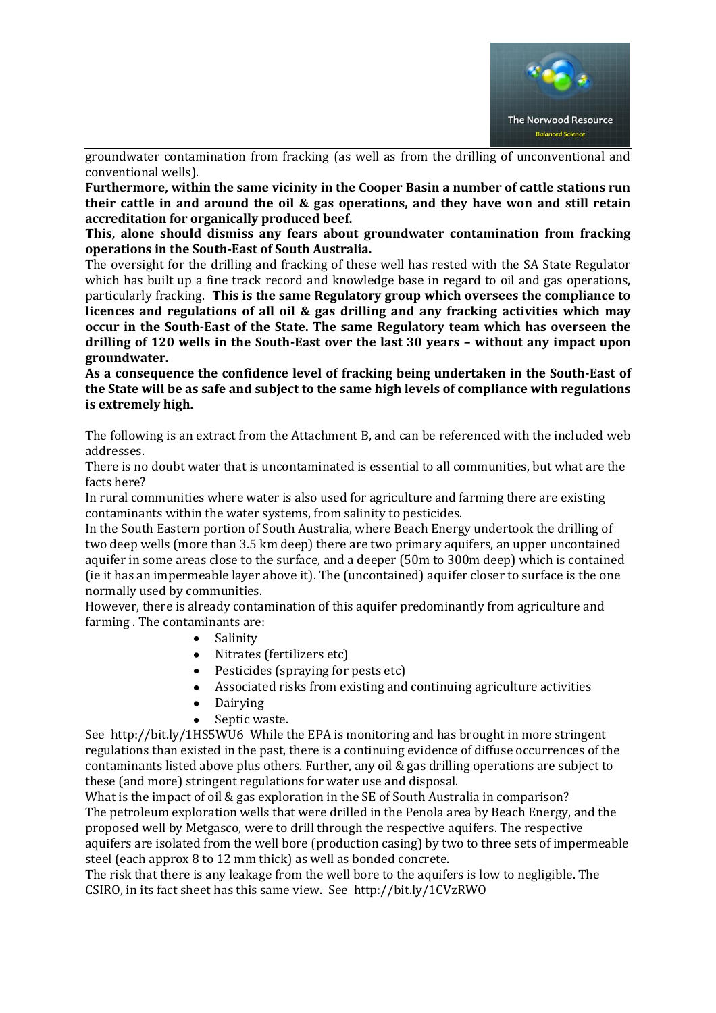

groundwater contamination from fracking (as well as from the drilling of unconventional and conventional wells).

**Furthermore, within the same vicinity in the Cooper Basin a number of cattle stations run their cattle in and around the oil & gas operations, and they have won and still retain accreditation for organically produced beef.**

**This, alone should dismiss any fears about groundwater contamination from fracking operations in the South-East of South Australia.**

The oversight for the drilling and fracking of these well has rested with the SA State Regulator which has built up a fine track record and knowledge base in regard to oil and gas operations, particularly fracking. **This is the same Regulatory group which oversees the compliance to licences and regulations of all oil & gas drilling and any fracking activities which may occur in the South-East of the State. The same Regulatory team which has overseen the drilling of 120 wells in the South-East over the last 30 years – without any impact upon groundwater.**

**As a consequence the confidence level of fracking being undertaken in the South-East of the State will be as safe and subject to the same high levels of compliance with regulations is extremely high.**

The following is an extract from the Attachment B, and can be referenced with the included web addresses.

There is no doubt water that is uncontaminated is essential to all communities, but what are the facts here?

In rural communities where water is also used for agriculture and farming there are existing contaminants within the water systems, from salinity to pesticides.

In the South Eastern portion of South Australia, where Beach Energy undertook the drilling of two deep wells (more than 3.5 km deep) there are two primary aquifers, an upper uncontained aquifer in some areas close to the surface, and a deeper (50m to 300m deep) which is contained (ie it has an impermeable layer above it). The (uncontained) aquifer closer to surface is the one normally used by communities.

However, there is already contamination of this aquifer predominantly from agriculture and farming . The contaminants are:

- Salinity
- Nitrates (fertilizers etc)
- Pesticides (spraying for pests etc)
- Associated risks from existing and continuing agriculture activities
- Dairying
- Septic waste.

See http://bit.ly/1HS5WU6 While the EPA is monitoring and has brought in more stringent regulations than existed in the past, there is a continuing evidence of diffuse occurrences of the contaminants listed above plus others. Further, any oil & gas drilling operations are subject to these (and more) stringent regulations for water use and disposal.

What is the impact of oil & gas exploration in the SE of South Australia in comparison? The petroleum exploration wells that were drilled in the Penola area by Beach Energy, and the proposed well by Metgasco, were to drill through the respective aquifers. The respective aquifers are isolated from the well bore (production casing) by two to three sets of impermeable steel (each approx 8 to 12 mm thick) as well as bonded concrete.

The risk that there is any leakage from the well bore to the aquifers is low to negligible. The CSIRO, in its fact sheet has this same view. See http://bit.ly/1CVzRWO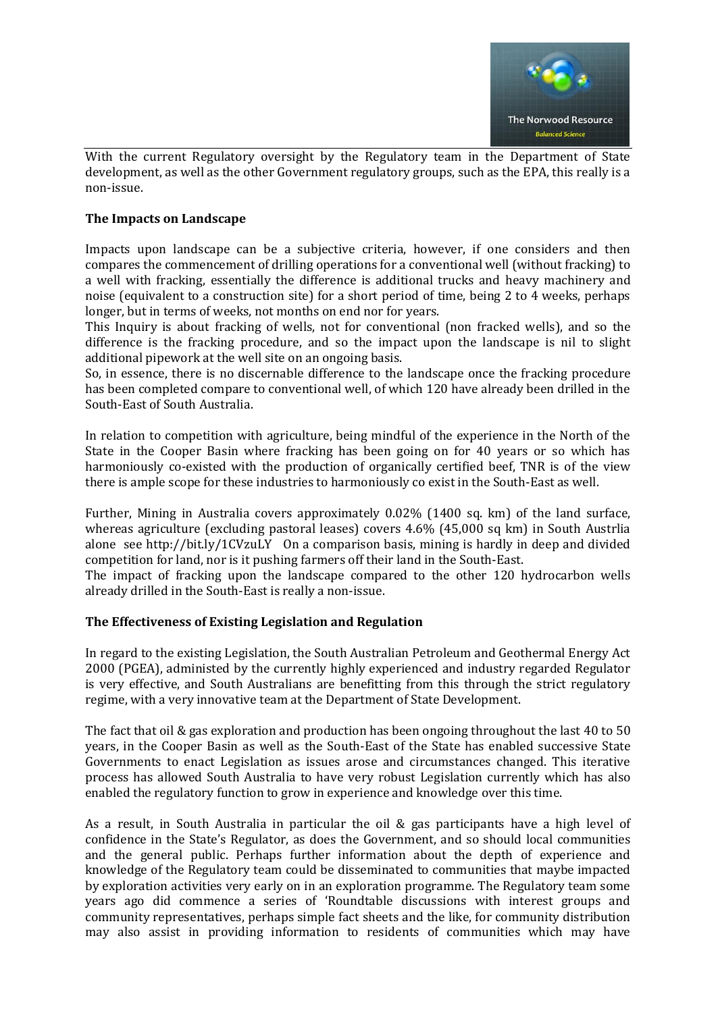

With the current Regulatory oversight by the Regulatory team in the Department of State development, as well as the other Government regulatory groups, such as the EPA, this really is a non-issue.

# **The Impacts on Landscape**

Impacts upon landscape can be a subjective criteria, however, if one considers and then compares the commencement of drilling operations for a conventional well (without fracking) to a well with fracking, essentially the difference is additional trucks and heavy machinery and noise (equivalent to a construction site) for a short period of time, being 2 to 4 weeks, perhaps longer, but in terms of weeks, not months on end nor for years.

This Inquiry is about fracking of wells, not for conventional (non fracked wells), and so the difference is the fracking procedure, and so the impact upon the landscape is nil to slight additional pipework at the well site on an ongoing basis.

So, in essence, there is no discernable difference to the landscape once the fracking procedure has been completed compare to conventional well, of which 120 have already been drilled in the South-East of South Australia.

In relation to competition with agriculture, being mindful of the experience in the North of the State in the Cooper Basin where fracking has been going on for 40 years or so which has harmoniously co-existed with the production of organically certified beef, TNR is of the view there is ample scope for these industries to harmoniously co exist in the South-East as well.

Further, Mining in Australia covers approximately 0.02% (1400 sq. km) of the land surface, whereas agriculture (excluding pastoral leases) covers 4.6% (45,000 sq km) in South Austrlia alone see http://bit.ly/1CVzuLY On a comparison basis, mining is hardly in deep and divided competition for land, nor is it pushing farmers off their land in the South-East.

The impact of fracking upon the landscape compared to the other 120 hydrocarbon wells already drilled in the South-East is really a non-issue.

# **The Effectiveness of Existing Legislation and Regulation**

In regard to the existing Legislation, the South Australian Petroleum and Geothermal Energy Act 2000 (PGEA), administed by the currently highly experienced and industry regarded Regulator is very effective, and South Australians are benefitting from this through the strict regulatory regime, with a very innovative team at the Department of State Development.

The fact that oil & gas exploration and production has been ongoing throughout the last 40 to 50 years, in the Cooper Basin as well as the South-East of the State has enabled successive State Governments to enact Legislation as issues arose and circumstances changed. This iterative process has allowed South Australia to have very robust Legislation currently which has also enabled the regulatory function to grow in experience and knowledge over this time.

As a result, in South Australia in particular the oil & gas participants have a high level of confidence in the State's Regulator, as does the Government, and so should local communities and the general public. Perhaps further information about the depth of experience and knowledge of the Regulatory team could be disseminated to communities that maybe impacted by exploration activities very early on in an exploration programme. The Regulatory team some years ago did commence a series of 'Roundtable discussions with interest groups and community representatives, perhaps simple fact sheets and the like, for community distribution may also assist in providing information to residents of communities which may have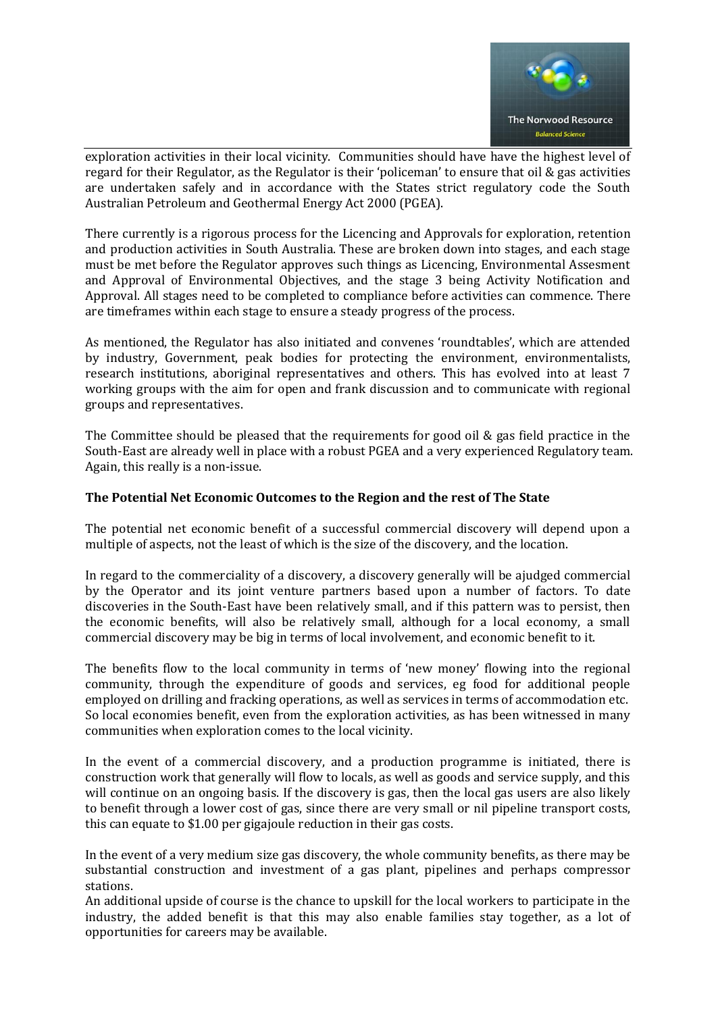

exploration activities in their local vicinity. Communities should have have the highest level of regard for their Regulator, as the Regulator is their 'policeman' to ensure that oil & gas activities are undertaken safely and in accordance with the States strict regulatory code the South Australian Petroleum and Geothermal Energy Act 2000 (PGEA).

There currently is a rigorous process for the Licencing and Approvals for exploration, retention and production activities in South Australia. These are broken down into stages, and each stage must be met before the Regulator approves such things as Licencing, Environmental Assesment and Approval of Environmental Objectives, and the stage 3 being Activity Notification and Approval. All stages need to be completed to compliance before activities can commence. There are timeframes within each stage to ensure a steady progress of the process.

As mentioned, the Regulator has also initiated and convenes 'roundtables', which are attended by industry, Government, peak bodies for protecting the environment, environmentalists, research institutions, aboriginal representatives and others. This has evolved into at least 7 working groups with the aim for open and frank discussion and to communicate with regional groups and representatives.

The Committee should be pleased that the requirements for good oil & gas field practice in the South-East are already well in place with a robust PGEA and a very experienced Regulatory team. Again, this really is a non-issue.

# **The Potential Net Economic Outcomes to the Region and the rest of The State**

The potential net economic benefit of a successful commercial discovery will depend upon a multiple of aspects, not the least of which is the size of the discovery, and the location.

In regard to the commerciality of a discovery, a discovery generally will be ajudged commercial by the Operator and its joint venture partners based upon a number of factors. To date discoveries in the South-East have been relatively small, and if this pattern was to persist, then the economic benefits, will also be relatively small, although for a local economy, a small commercial discovery may be big in terms of local involvement, and economic benefit to it.

The benefits flow to the local community in terms of 'new money' flowing into the regional community, through the expenditure of goods and services, eg food for additional people employed on drilling and fracking operations, as well as services in terms of accommodation etc. So local economies benefit, even from the exploration activities, as has been witnessed in many communities when exploration comes to the local vicinity.

In the event of a commercial discovery, and a production programme is initiated, there is construction work that generally will flow to locals, as well as goods and service supply, and this will continue on an ongoing basis. If the discovery is gas, then the local gas users are also likely to benefit through a lower cost of gas, since there are very small or nil pipeline transport costs, this can equate to \$1.00 per gigajoule reduction in their gas costs.

In the event of a very medium size gas discovery, the whole community benefits, as there may be substantial construction and investment of a gas plant, pipelines and perhaps compressor stations.

An additional upside of course is the chance to upskill for the local workers to participate in the industry, the added benefit is that this may also enable families stay together, as a lot of opportunities for careers may be available.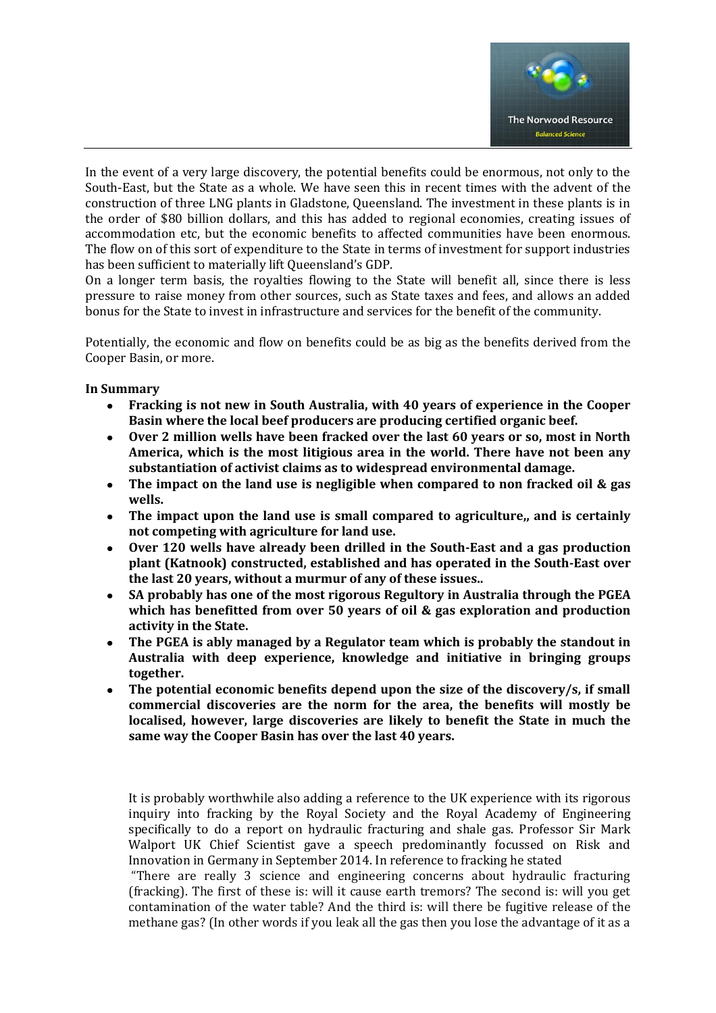

In the event of a very large discovery, the potential benefits could be enormous, not only to the South-East, but the State as a whole. We have seen this in recent times with the advent of the construction of three LNG plants in Gladstone, Queensland. The investment in these plants is in the order of \$80 billion dollars, and this has added to regional economies, creating issues of accommodation etc, but the economic benefits to affected communities have been enormous. The flow on of this sort of expenditure to the State in terms of investment for support industries has been sufficient to materially lift Queensland's GDP.

On a longer term basis, the royalties flowing to the State will benefit all, since there is less pressure to raise money from other sources, such as State taxes and fees, and allows an added bonus for the State to invest in infrastructure and services for the benefit of the community.

Potentially, the economic and flow on benefits could be as big as the benefits derived from the Cooper Basin, or more.

#### **In Summary**

- **Fracking is not new in South Australia, with 40 years of experience in the Cooper Basin where the local beef producers are producing certified organic beef.**
- **Over 2 million wells have been fracked over the last 60 years or so, most in North America, which is the most litigious area in the world. There have not been any substantiation of activist claims as to widespread environmental damage.**
- **The impact on the land use is negligible when compared to non fracked oil & gas wells.**
- **The impact upon the land use is small compared to agriculture,, and is certainly not competing with agriculture for land use.**
- **Over 120 wells have already been drilled in the South-East and a gas production plant (Katnook) constructed, established and has operated in the South-East over the last 20 years, without a murmur of any of these issues..**
- **SA probably has one of the most rigorous Regultory in Australia through the PGEA which has benefitted from over 50 years of oil & gas exploration and production activity in the State.**
- **The PGEA is ably managed by a Regulator team which is probably the standout in Australia with deep experience, knowledge and initiative in bringing groups together.**
- **The potential economic benefits depend upon the size of the discovery/s, if small commercial discoveries are the norm for the area, the benefits will mostly be localised, however, large discoveries are likely to benefit the State in much the same way the Cooper Basin has over the last 40 years.**

It is probably worthwhile also adding a reference to the UK experience with its rigorous inquiry into fracking by the Royal Society and the Royal Academy of Engineering specifically to do a report on hydraulic fracturing and shale gas. Professor Sir Mark Walport UK Chief Scientist gave a speech predominantly focussed on Risk and Innovation in Germany in September 2014. In reference to fracking he stated

"There are really 3 science and engineering concerns about hydraulic fracturing (fracking). The first of these is: will it cause earth tremors? The second is: will you get contamination of the water table? And the third is: will there be fugitive release of the methane gas? (In other words if you leak all the gas then you lose the advantage of it as a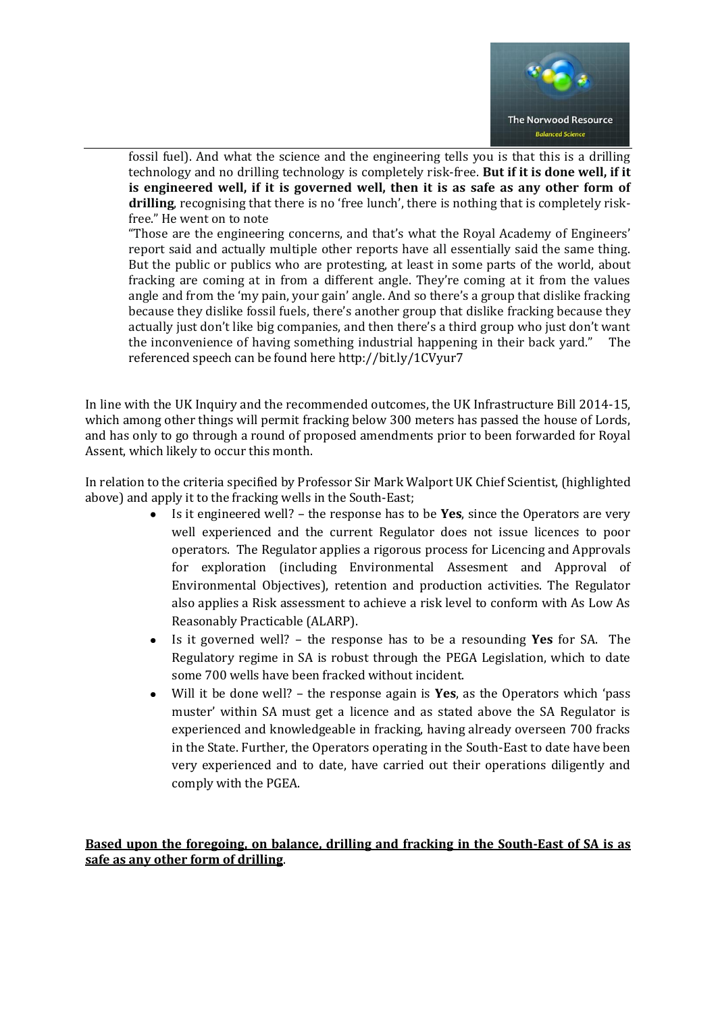

fossil fuel). And what the science and the engineering tells you is that this is a drilling technology and no drilling technology is completely risk-free. **But if it is done well, if it is engineered well, if it is governed well, then it is as safe as any other form of drilling**, recognising that there is no 'free lunch', there is nothing that is completely riskfree." He went on to note

"Those are the engineering concerns, and that's what the Royal Academy of Engineers' report said and actually multiple other reports have all essentially said the same thing. But the public or publics who are protesting, at least in some parts of the world, about fracking are coming at in from a different angle. They're coming at it from the values angle and from the 'my pain, your gain' angle. And so there's a group that dislike fracking because they dislike fossil fuels, there's another group that dislike fracking because they actually just don't like big companies, and then there's a third group who just don't want the inconvenience of having something industrial happening in their back yard." The referenced speech can be found here http://bit.ly/1CVyur7

In line with the UK Inquiry and the recommended outcomes, the UK Infrastructure Bill 2014-15, which among other things will permit fracking below 300 meters has passed the house of Lords, and has only to go through a round of proposed amendments prior to been forwarded for Royal Assent, which likely to occur this month.

In relation to the criteria specified by Professor Sir Mark Walport UK Chief Scientist, (highlighted above) and apply it to the fracking wells in the South-East;

- Is it engineered well? the response has to be **Yes**, since the Operators are very  $\bullet$ well experienced and the current Regulator does not issue licences to poor operators. The Regulator applies a rigorous process for Licencing and Approvals for exploration (including Environmental Assesment and Approval of Environmental Objectives), retention and production activities. The Regulator also applies a Risk assessment to achieve a risk level to conform with As Low As Reasonably Practicable (ALARP).
- Is it governed well? the response has to be a resounding **Yes** for SA. The  $\bullet$  . Regulatory regime in SA is robust through the PEGA Legislation, which to date some 700 wells have been fracked without incident.
- Will it be done well? the response again is **Yes**, as the Operators which 'pass  $\bullet$ muster' within SA must get a licence and as stated above the SA Regulator is experienced and knowledgeable in fracking, having already overseen 700 fracks in the State. Further, the Operators operating in the South-East to date have been very experienced and to date, have carried out their operations diligently and comply with the PGEA.

# **Based upon the foregoing, on balance, drilling and fracking in the South-East of SA is as safe as any other form of drilling**.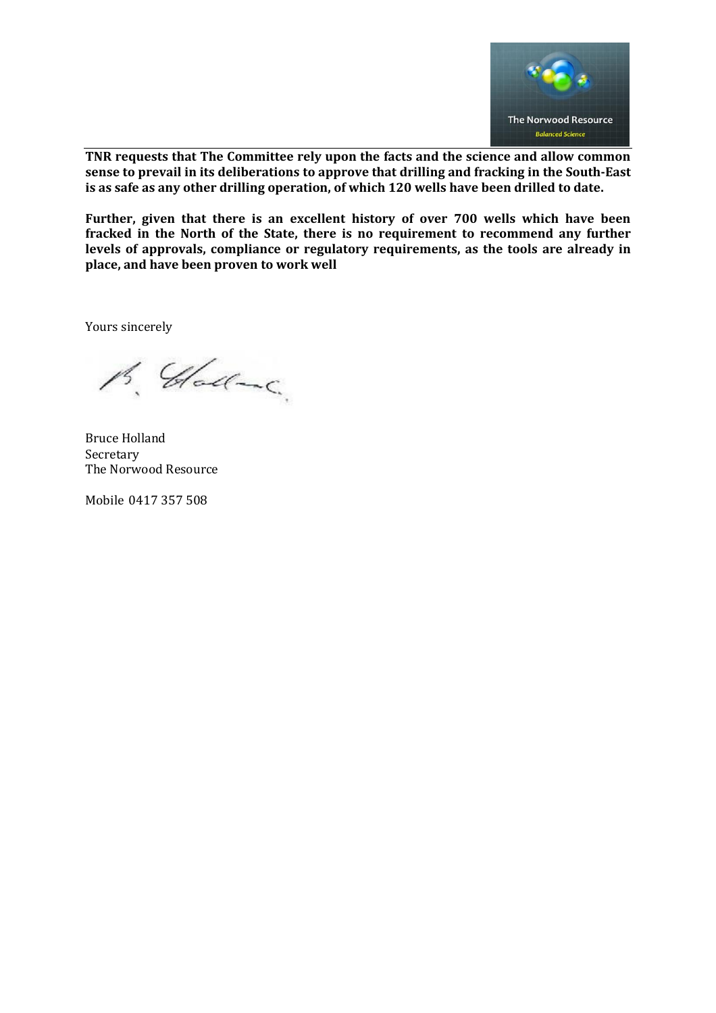

**TNR requests that The Committee rely upon the facts and the science and allow common sense to prevail in its deliberations to approve that drilling and fracking in the South-East is as safe as any other drilling operation, of which 120 wells have been drilled to date.**

**Further, given that there is an excellent history of over 700 wells which have been fracked in the North of the State, there is no requirement to recommend any further levels of approvals, compliance or regulatory requirements, as the tools are already in place, and have been proven to work well**

Yours sincerely

B. Gladonc.

Bruce Holland Secretary The Norwood Resource

Mobile 0417 357 508